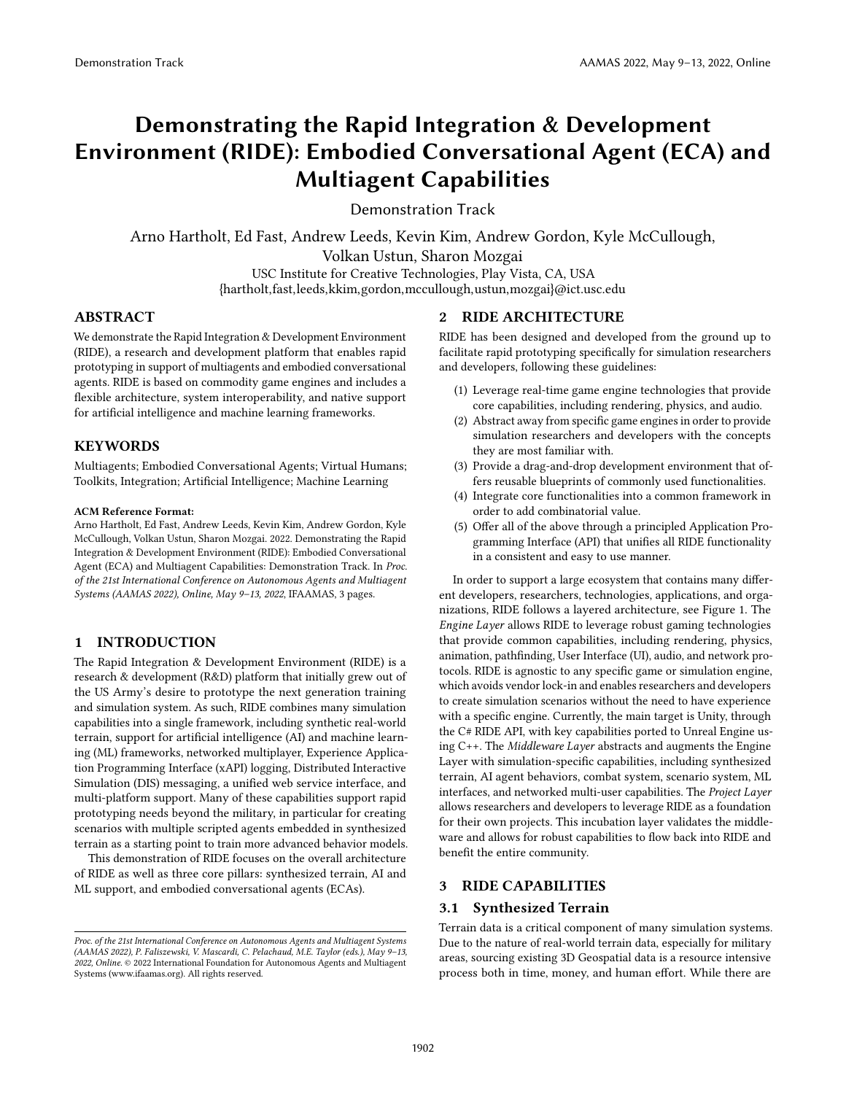# Demonstrating the Rapid Integration & Development Environment (RIDE): Embodied Conversational Agent (ECA) and Multiagent Capabilities

Demonstration Track

Arno Hartholt, Ed Fast, Andrew Leeds, Kevin Kim, Andrew Gordon, Kyle McCullough, Volkan Ustun, Sharon Mozgai USC Institute for Creative Technologies, Play Vista, CA, USA

{hartholt,fast,leeds,kkim,gordon,mccullough,ustun,mozgai}@ict.usc.edu

## ABSTRACT

We demonstrate the Rapid Integration & Development Environment (RIDE), a research and development platform that enables rapid prototyping in support of multiagents and embodied conversational agents. RIDE is based on commodity game engines and includes a flexible architecture, system interoperability, and native support for artificial intelligence and machine learning frameworks.

## **KEYWORDS**

Multiagents; Embodied Conversational Agents; Virtual Humans; Toolkits, Integration; Artificial Intelligence; Machine Learning

#### ACM Reference Format:

Arno Hartholt, Ed Fast, Andrew Leeds, Kevin Kim, Andrew Gordon, Kyle McCullough, Volkan Ustun, Sharon Mozgai. 2022. Demonstrating the Rapid Integration & Development Environment (RIDE): Embodied Conversational Agent (ECA) and Multiagent Capabilities: Demonstration Track. In Proc. of the 21st International Conference on Autonomous Agents and Multiagent Systems (AAMAS 2022), Online, May 9–13, 2022, IFAAMAS, [3](#page-2-0) pages.

## 1 INTRODUCTION

The Rapid Integration & Development Environment (RIDE) is a research & development (R&D) platform that initially grew out of the US Army's desire to prototype the next generation training and simulation system. As such, RIDE combines many simulation capabilities into a single framework, including synthetic real-world terrain, support for artificial intelligence (AI) and machine learning (ML) frameworks, networked multiplayer, Experience Application Programming Interface (xAPI) logging, Distributed Interactive Simulation (DIS) messaging, a unified web service interface, and multi-platform support. Many of these capabilities support rapid prototyping needs beyond the military, in particular for creating scenarios with multiple scripted agents embedded in synthesized terrain as a starting point to train more advanced behavior models.

This demonstration of RIDE focuses on the overall architecture of RIDE as well as three core pillars: synthesized terrain, AI and ML support, and embodied conversational agents (ECAs).

## 2 RIDE ARCHITECTURE

RIDE has been designed and developed from the ground up to facilitate rapid prototyping specifically for simulation researchers and developers, following these guidelines:

- (1) Leverage real-time game engine technologies that provide core capabilities, including rendering, physics, and audio.
- (2) Abstract away from specific game engines in order to provide simulation researchers and developers with the concepts they are most familiar with.
- Provide a drag-and-drop development environment that offers reusable blueprints of commonly used functionalities.
- (4) Integrate core functionalities into a common framework in order to add combinatorial value.
- (5) Offer all of the above through a principled Application Programming Interface (API) that unifies all RIDE functionality in a consistent and easy to use manner.

In order to support a large ecosystem that contains many different developers, researchers, technologies, applications, and organizations, RIDE follows a layered architecture, see Figure [1.](#page-1-0) The Engine Layer allows RIDE to leverage robust gaming technologies that provide common capabilities, including rendering, physics, animation, pathfinding, User Interface (UI), audio, and network protocols. RIDE is agnostic to any specific game or simulation engine, which avoids vendor lock-in and enables researchers and developers to create simulation scenarios without the need to have experience with a specific engine. Currently, the main target is Unity, through the C# RIDE API, with key capabilities ported to Unreal Engine using C++. The Middleware Layer abstracts and augments the Engine Layer with simulation-specific capabilities, including synthesized terrain, AI agent behaviors, combat system, scenario system, ML interfaces, and networked multi-user capabilities. The Project Layer allows researchers and developers to leverage RIDE as a foundation for their own projects. This incubation layer validates the middleware and allows for robust capabilities to flow back into RIDE and benefit the entire community.

## 3 RIDE CAPABILITIES

## 3.1 Synthesized Terrain

Terrain data is a critical component of many simulation systems. Due to the nature of real-world terrain data, especially for military areas, sourcing existing 3D Geospatial data is a resource intensive process both in time, money, and human effort. While there are

Proc. of the 21st International Conference on Autonomous Agents and Multiagent Systems (AAMAS 2022), P. Faliszewski, V. Mascardi, C. Pelachaud, M.E. Taylor (eds.), May 9–13, 2022, Online. © 2022 International Foundation for Autonomous Agents and Multiagent Systems (www.ifaamas.org). All rights reserved.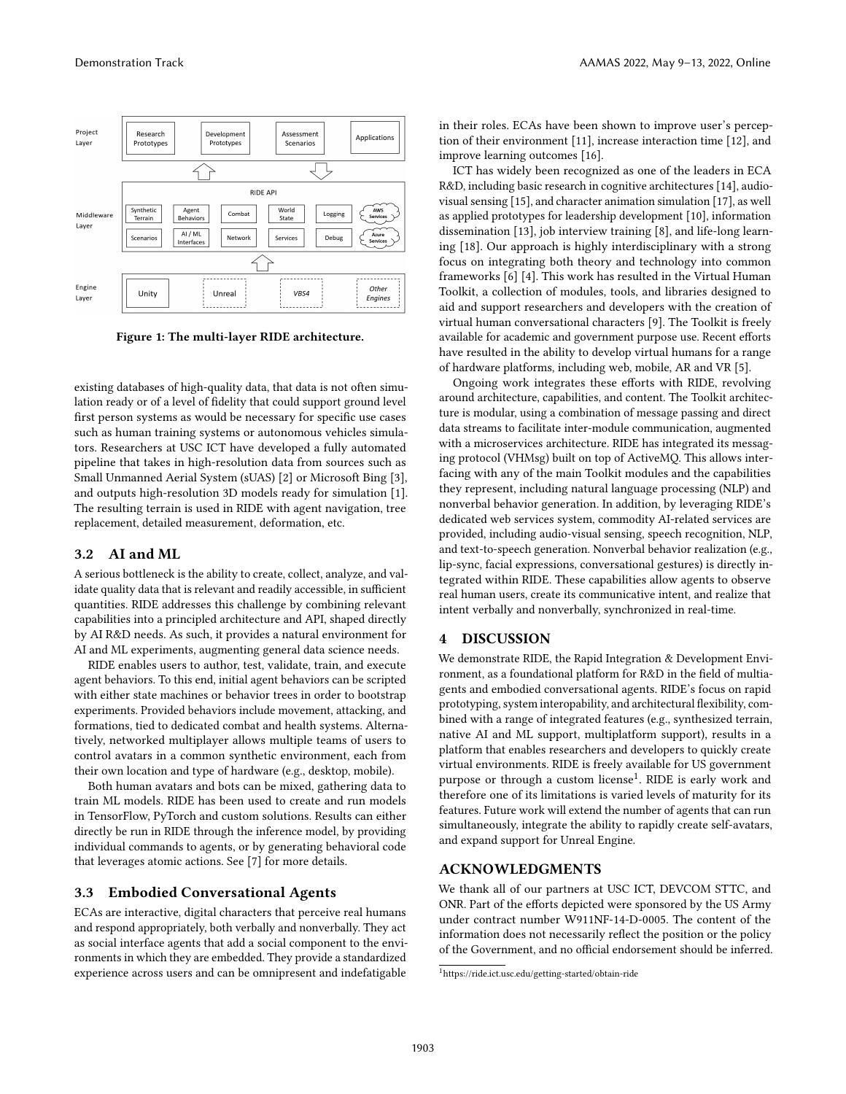<span id="page-1-0"></span>

Figure 1: The multi-layer RIDE architecture.

existing databases of high-quality data, that data is not often simulation ready or of a level of fidelity that could support ground level first person systems as would be necessary for specific use cases such as human training systems or autonomous vehicles simulators. Researchers at USC ICT have developed a fully automated pipeline that takes in high-resolution data from sources such as Small Unmanned Aerial System (sUAS) [\[2\]](#page-2-1) or Microsoft Bing [\[3\]](#page-2-2), and outputs high-resolution 3D models ready for simulation [\[1\]](#page-2-3). The resulting terrain is used in RIDE with agent navigation, tree replacement, detailed measurement, deformation, etc.

#### 3.2 AI and ML

A serious bottleneck is the ability to create, collect, analyze, and validate quality data that is relevant and readily accessible, in sufficient quantities. RIDE addresses this challenge by combining relevant capabilities into a principled architecture and API, shaped directly by AI R&D needs. As such, it provides a natural environment for AI and ML experiments, augmenting general data science needs.

RIDE enables users to author, test, validate, train, and execute agent behaviors. To this end, initial agent behaviors can be scripted with either state machines or behavior trees in order to bootstrap experiments. Provided behaviors include movement, attacking, and formations, tied to dedicated combat and health systems. Alternatively, networked multiplayer allows multiple teams of users to control avatars in a common synthetic environment, each from their own location and type of hardware (e.g., desktop, mobile).

Both human avatars and bots can be mixed, gathering data to train ML models. RIDE has been used to create and run models in TensorFlow, PyTorch and custom solutions. Results can either directly be run in RIDE through the inference model, by providing individual commands to agents, or by generating behavioral code that leverages atomic actions. See [\[7\]](#page-2-4) for more details.

#### 3.3 Embodied Conversational Agents

ECAs are interactive, digital characters that perceive real humans and respond appropriately, both verbally and nonverbally. They act as social interface agents that add a social component to the environments in which they are embedded. They provide a standardized experience across users and can be omnipresent and indefatigable

in their roles. ECAs have been shown to improve user's perception of their environment [\[11\]](#page-2-5), increase interaction time [\[12\]](#page-2-6), and improve learning outcomes [\[16\]](#page-2-7).

ICT has widely been recognized as one of the leaders in ECA R&D, including basic research in cognitive architectures [\[14\]](#page-2-8), audiovisual sensing [\[15\]](#page-2-9), and character animation simulation [\[17\]](#page-2-10), as well as applied prototypes for leadership development [\[10\]](#page-2-11), information dissemination [\[13\]](#page-2-12), job interview training [\[8\]](#page-2-13), and life-long learning [\[18\]](#page-2-14). Our approach is highly interdisciplinary with a strong focus on integrating both theory and technology into common frameworks [\[6\]](#page-2-15) [\[4\]](#page-2-16). This work has resulted in the Virtual Human Toolkit, a collection of modules, tools, and libraries designed to aid and support researchers and developers with the creation of virtual human conversational characters [\[9\]](#page-2-17). The Toolkit is freely available for academic and government purpose use. Recent efforts have resulted in the ability to develop virtual humans for a range of hardware platforms, including web, mobile, AR and VR [\[5\]](#page-2-18).

Ongoing work integrates these efforts with RIDE, revolving around architecture, capabilities, and content. The Toolkit architecture is modular, using a combination of message passing and direct data streams to facilitate inter-module communication, augmented with a microservices architecture. RIDE has integrated its messaging protocol (VHMsg) built on top of ActiveMQ. This allows interfacing with any of the main Toolkit modules and the capabilities they represent, including natural language processing (NLP) and nonverbal behavior generation. In addition, by leveraging RIDE's dedicated web services system, commodity AI-related services are provided, including audio-visual sensing, speech recognition, NLP, and text-to-speech generation. Nonverbal behavior realization (e.g., lip-sync, facial expressions, conversational gestures) is directly integrated within RIDE. These capabilities allow agents to observe real human users, create its communicative intent, and realize that intent verbally and nonverbally, synchronized in real-time.

## 4 DISCUSSION

We demonstrate RIDE, the Rapid Integration & Development Environment, as a foundational platform for R&D in the field of multiagents and embodied conversational agents. RIDE's focus on rapid prototyping, system interopability, and architectural flexibility, combined with a range of integrated features (e.g., synthesized terrain, native AI and ML support, multiplatform support), results in a platform that enables researchers and developers to quickly create virtual environments. RIDE is freely available for US government purpose or through a custom license<sup>[1](#page-1-1)</sup>. RIDE is early work and therefore one of its limitations is varied levels of maturity for its features. Future work will extend the number of agents that can run simultaneously, integrate the ability to rapidly create self-avatars, and expand support for Unreal Engine.

#### ACKNOWLEDGMENTS

We thank all of our partners at USC ICT, DEVCOM STTC, and ONR. Part of the efforts depicted were sponsored by the US Army under contract number W911NF-14-D-0005. The content of the information does not necessarily reflect the position or the policy of the Government, and no official endorsement should be inferred.

<span id="page-1-1"></span><sup>1</sup>https://ride.ict.usc.edu/getting-started/obtain-ride